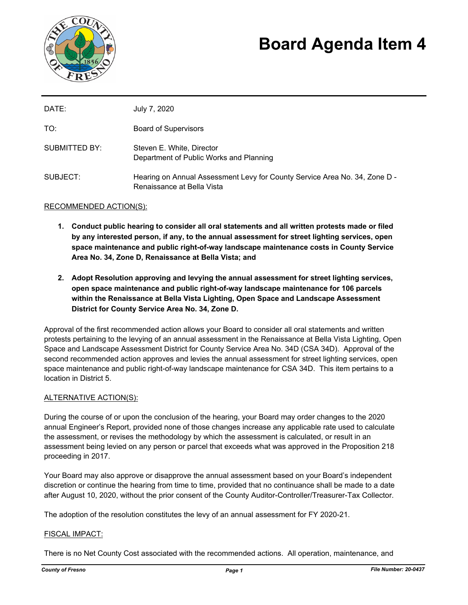

# **Board Agenda Item 4**

| DATE:         | July 7, 2020                                                                                             |
|---------------|----------------------------------------------------------------------------------------------------------|
| TO:           | <b>Board of Supervisors</b>                                                                              |
| SUBMITTED BY: | Steven E. White, Director<br>Department of Public Works and Planning                                     |
| SUBJECT:      | Hearing on Annual Assessment Levy for County Service Area No. 34, Zone D -<br>Renaissance at Bella Vista |

## RECOMMENDED ACTION(S):

- **1. Conduct public hearing to consider all oral statements and all written protests made or filed by any interested person, if any, to the annual assessment for street lighting services, open space maintenance and public right-of-way landscape maintenance costs in County Service Area No. 34, Zone D, Renaissance at Bella Vista; and**
- **2. Adopt Resolution approving and levying the annual assessment for street lighting services, open space maintenance and public right-of-way landscape maintenance for 106 parcels within the Renaissance at Bella Vista Lighting, Open Space and Landscape Assessment District for County Service Area No. 34, Zone D.**

Approval of the first recommended action allows your Board to consider all oral statements and written protests pertaining to the levying of an annual assessment in the Renaissance at Bella Vista Lighting, Open Space and Landscape Assessment District for County Service Area No. 34D (CSA 34D). Approval of the second recommended action approves and levies the annual assessment for street lighting services, open space maintenance and public right-of-way landscape maintenance for CSA 34D. This item pertains to a location in District 5.

#### ALTERNATIVE ACTION(S):

During the course of or upon the conclusion of the hearing, your Board may order changes to the 2020 annual Engineer's Report, provided none of those changes increase any applicable rate used to calculate the assessment, or revises the methodology by which the assessment is calculated, or result in an assessment being levied on any person or parcel that exceeds what was approved in the Proposition 218 proceeding in 2017.

Your Board may also approve or disapprove the annual assessment based on your Board's independent discretion or continue the hearing from time to time, provided that no continuance shall be made to a date after August 10, 2020, without the prior consent of the County Auditor-Controller/Treasurer-Tax Collector.

The adoption of the resolution constitutes the levy of an annual assessment for FY 2020-21.

#### FISCAL IMPACT:

There is no Net County Cost associated with the recommended actions. All operation, maintenance, and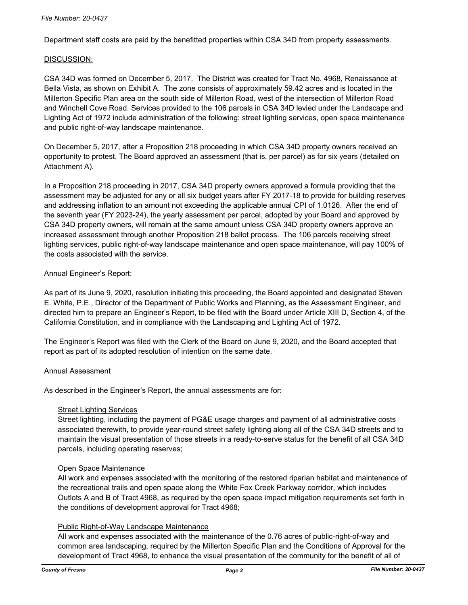Department staff costs are paid by the benefitted properties within CSA 34D from property assessments.

#### DISCUSSION:

CSA 34D was formed on December 5, 2017. The District was created for Tract No. 4968, Renaissance at Bella Vista, as shown on Exhibit A. The zone consists of approximately 59.42 acres and is located in the Millerton Specific Plan area on the south side of Millerton Road, west of the intersection of Millerton Road and Winchell Cove Road. Services provided to the 106 parcels in CSA 34D levied under the Landscape and Lighting Act of 1972 include administration of the following: street lighting services, open space maintenance and public right-of-way landscape maintenance.

On December 5, 2017, after a Proposition 218 proceeding in which CSA 34D property owners received an opportunity to protest. The Board approved an assessment (that is, per parcel) as for six years (detailed on Attachment A).

In a Proposition 218 proceeding in 2017, CSA 34D property owners approved a formula providing that the assessment may be adjusted for any or all six budget years after FY 2017-18 to provide for building reserves and addressing inflation to an amount not exceeding the applicable annual CPI of 1.0126. After the end of the seventh year (FY 2023-24), the yearly assessment per parcel, adopted by your Board and approved by CSA 34D property owners, will remain at the same amount unless CSA 34D property owners approve an increased assessment through another Proposition 218 ballot process. The 106 parcels receiving street lighting services, public right-of-way landscape maintenance and open space maintenance, will pay 100% of the costs associated with the service.

## Annual Engineer's Report:

As part of its June 9, 2020, resolution initiating this proceeding, the Board appointed and designated Steven E. White, P.E., Director of the Department of Public Works and Planning, as the Assessment Engineer, and directed him to prepare an Engineer's Report, to be filed with the Board under Article XIII D, Section 4, of the California Constitution, and in compliance with the Landscaping and Lighting Act of 1972.

The Engineer's Report was filed with the Clerk of the Board on June 9, 2020, and the Board accepted that report as part of its adopted resolution of intention on the same date.

#### Annual Assessment

As described in the Engineer's Report, the annual assessments are for:

#### Street Lighting Services

Street lighting, including the payment of PG&E usage charges and payment of all administrative costs associated therewith, to provide year-round street safety lighting along all of the CSA 34D streets and to maintain the visual presentation of those streets in a ready-to-serve status for the benefit of all CSA 34D parcels, including operating reserves;

#### Open Space Maintenance

All work and expenses associated with the monitoring of the restored riparian habitat and maintenance of the recreational trails and open space along the White Fox Creek Parkway corridor, which includes Outlots A and B of Tract 4968, as required by the open space impact mitigation requirements set forth in the conditions of development approval for Tract 4968;

#### Public Right-of-Way Landscape Maintenance

All work and expenses associated with the maintenance of the 0.76 acres of public-right-of-way and common area landscaping, required by the Millerton Specific Plan and the Conditions of Approval for the development of Tract 4968, to enhance the visual presentation of the community for the benefit of all of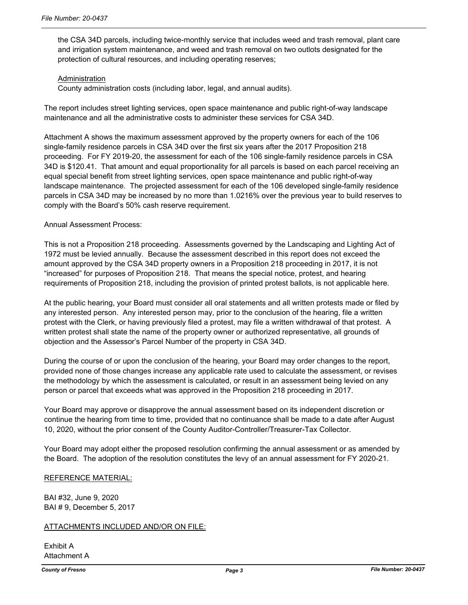the CSA 34D parcels, including twice-monthly service that includes weed and trash removal, plant care and irrigation system maintenance, and weed and trash removal on two outlots designated for the protection of cultural resources, and including operating reserves;

#### Administration

County administration costs (including labor, legal, and annual audits).

The report includes street lighting services, open space maintenance and public right-of-way landscape maintenance and all the administrative costs to administer these services for CSA 34D.

Attachment A shows the maximum assessment approved by the property owners for each of the 106 single-family residence parcels in CSA 34D over the first six years after the 2017 Proposition 218 proceeding. For FY 2019-20, the assessment for each of the 106 single-family residence parcels in CSA 34D is \$120.41. That amount and equal proportionality for all parcels is based on each parcel receiving an equal special benefit from street lighting services, open space maintenance and public right-of-way landscape maintenance. The projected assessment for each of the 106 developed single-family residence parcels in CSA 34D may be increased by no more than 1.0216% over the previous year to build reserves to comply with the Board's 50% cash reserve requirement.

## Annual Assessment Process:

This is not a Proposition 218 proceeding. Assessments governed by the Landscaping and Lighting Act of 1972 must be levied annually. Because the assessment described in this report does not exceed the amount approved by the CSA 34D property owners in a Proposition 218 proceeding in 2017, it is not "increased" for purposes of Proposition 218. That means the special notice, protest, and hearing requirements of Proposition 218, including the provision of printed protest ballots, is not applicable here.

At the public hearing, your Board must consider all oral statements and all written protests made or filed by any interested person. Any interested person may, prior to the conclusion of the hearing, file a written protest with the Clerk, or having previously filed a protest, may file a written withdrawal of that protest. A written protest shall state the name of the property owner or authorized representative, all grounds of objection and the Assessor's Parcel Number of the property in CSA 34D.

During the course of or upon the conclusion of the hearing, your Board may order changes to the report, provided none of those changes increase any applicable rate used to calculate the assessment, or revises the methodology by which the assessment is calculated, or result in an assessment being levied on any person or parcel that exceeds what was approved in the Proposition 218 proceeding in 2017.

Your Board may approve or disapprove the annual assessment based on its independent discretion or continue the hearing from time to time, provided that no continuance shall be made to a date after August 10, 2020, without the prior consent of the County Auditor-Controller/Treasurer-Tax Collector.

Your Board may adopt either the proposed resolution confirming the annual assessment or as amended by the Board. The adoption of the resolution constitutes the levy of an annual assessment for FY 2020-21.

#### REFERENCE MATERIAL:

BAI #32, June 9, 2020 BAI # 9, December 5, 2017

#### ATTACHMENTS INCLUDED AND/OR ON FILE:

Exhibit A Attachment A